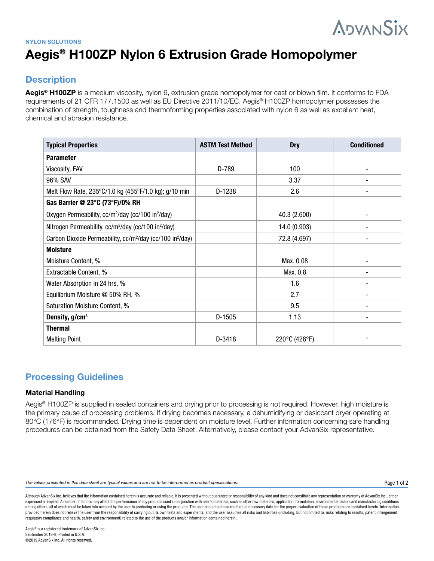# **ADVANSIX**

## **NYLON SOLUTIONS Aegis® H100ZP Nylon 6 Extrusion Grade Homopolymer**

## **Description**

**Aegis® H100ZP** is a medium viscosity, nylon 6, extrusion grade homopolymer for cast or blown film. It conforms to FDA requirements of 21 CFR 177.1500 as well as EU Directive 2011/10/EC. Aegis® H100ZP homopolymer possesses the combination of strength, toughness and thermoforming properties associated with nylon 6 as well as excellent heat, chemical and abrasion resistance.

| <b>Typical Properties</b>                                                         | <b>ASTM Test Method</b> | <b>Dry</b>    | <b>Conditioned</b> |
|-----------------------------------------------------------------------------------|-------------------------|---------------|--------------------|
| <b>Parameter</b>                                                                  |                         |               |                    |
| Viscosity, FAV                                                                    | D-789                   | 100           |                    |
| 96% SAV                                                                           |                         | 3.37          |                    |
| Melt Flow Rate, 235°C/1.0 kg (455°F/1.0 kg); g/10 min                             | D-1238                  | 2.6           |                    |
| Gas Barrier @ 23°C (73°F)/0% RH                                                   |                         |               |                    |
| Oxygen Permeability, cc/m <sup>2</sup> /day (cc/100 in <sup>2</sup> /day)         |                         | 40.3 (2.600)  |                    |
| Nitrogen Permeability, cc/m <sup>2</sup> /day (cc/100 in <sup>2</sup> /day)       |                         | 14.0 (0.903)  |                    |
| Carbon Dioxide Permeability, cc/m <sup>2</sup> /day (cc/100 in <sup>2</sup> /day) |                         | 72.8 (4.697)  |                    |
| <b>Moisture</b>                                                                   |                         |               |                    |
| Moisture Content, %                                                               |                         | Max. 0.08     |                    |
| Extractable Content, %                                                            |                         | Max. 0.8      |                    |
| Water Absorption in 24 hrs, %                                                     |                         | 1.6           |                    |
| Equilibrium Moisture @ 50% RH, %                                                  |                         | 2.7           |                    |
| Saturation Moisture Content, %                                                    |                         | 9.5           |                    |
| Density, g/cm <sup>3</sup>                                                        | $D-1505$                | 1.13          |                    |
| <b>Thermal</b>                                                                    |                         |               |                    |
| <b>Melting Point</b>                                                              | D-3418                  | 220°C (428°F) |                    |

## **Processing Guidelines**

### **Material Handling**

Aegis® H100ZP is supplied in sealed containers and drying prior to processing is not required. However, high moisture is the primary cause of processing problems. If drying becomes necessary, a dehumidifying or desiccant dryer operating at 80°C (176°F) is recommended. Drying time is dependent on moisture level. Further information concerning safe handling procedures can be obtained from the Safety Data Sheet. Alternatively, please contact your AdvanSix representative.

The values presented in this data sheet are typical values and are not to be interpreted as product specifications.

Although AdvanSix Inc. believes that the information contained herein is accurate and reliable, it is presented without guarantee or responsibility of any kind and does not constitute any representation or warranty of Adva expressed or implied. A number of factors may affect the performance of any products used in conjunction with user's materials, such as other raw materials, application, formulation, environmental factors and manufacturing among others, all of which must be taken into account by the user in producing or using the products. The user should not assume that all necessary data for the proper evaluation of these products are contained herein. Inf provided herein does not relieve the user from the responsibility of carrying out its own tests and experiments, and the user assumes all risks and liabilities (including, but not limited to, risks relating to results, pat regulatory compliance and health, safety and environment) related to the use of the products and/or information contained herein.